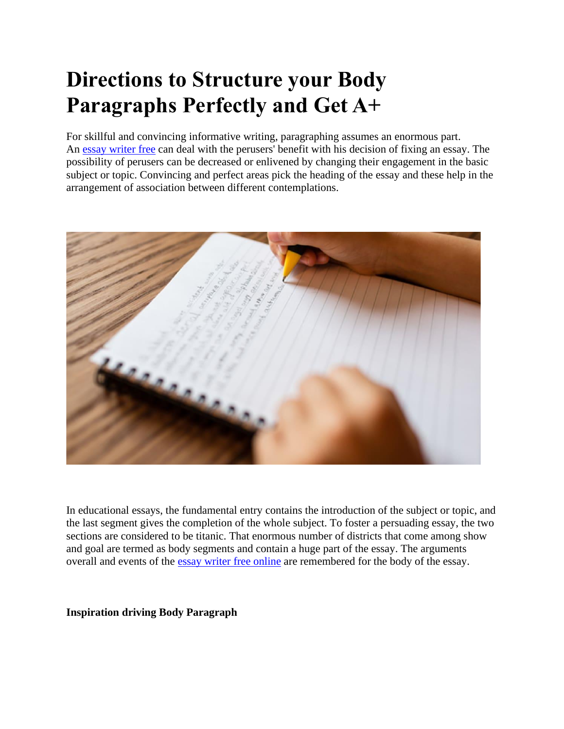# **Directions to Structure your Body Paragraphs Perfectly and Get A+**

For skillful and convincing informative writing, paragraphing assumes an enormous part. An [essay writer free](https://www.collegeessay.org/) can deal with the perusers' benefit with his decision of fixing an essay. The possibility of perusers can be decreased or enlivened by changing their engagement in the basic subject or topic. Convincing and perfect areas pick the heading of the essay and these help in the arrangement of association between different contemplations.



In educational essays, the fundamental entry contains the introduction of the subject or topic, and the last segment gives the completion of the whole subject. To foster a persuading essay, the two sections are considered to be titanic. That enormous number of districts that come among show and goal are termed as body segments and contain a huge part of the essay. The arguments overall and events of the [essay writer free](https://www.freeessaywriter.net/) online are remembered for the body of the essay.

**Inspiration driving Body Paragraph**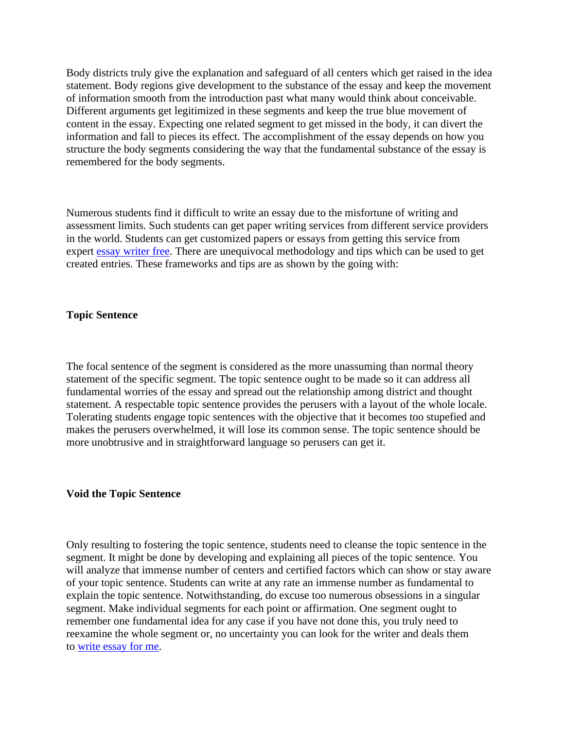Body districts truly give the explanation and safeguard of all centers which get raised in the idea statement. Body regions give development to the substance of the essay and keep the movement of information smooth from the introduction past what many would think about conceivable. Different arguments get legitimized in these segments and keep the true blue movement of content in the essay. Expecting one related segment to get missed in the body, it can divert the information and fall to pieces its effect. The accomplishment of the essay depends on how you structure the body segments considering the way that the fundamental substance of the essay is remembered for the body segments.

Numerous students find it difficult to write an essay due to the misfortune of writing and assessment limits. Such students can get paper writing services from different service providers in the world. Students can get customized papers or essays from getting this service from expert [essay writer free.](https://www.essaywriter.college/) There are unequivocal methodology and tips which can be used to get created entries. These frameworks and tips are as shown by the going with:

## **Topic Sentence**

The focal sentence of the segment is considered as the more unassuming than normal theory statement of the specific segment. The topic sentence ought to be made so it can address all fundamental worries of the essay and spread out the relationship among district and thought statement. A respectable topic sentence provides the perusers with a layout of the whole locale. Tolerating students engage topic sentences with the objective that it becomes too stupefied and makes the perusers overwhelmed, it will lose its common sense. The topic sentence should be more unobtrusive and in straightforward language so perusers can get it.

### **Void the Topic Sentence**

Only resulting to fostering the topic sentence, students need to cleanse the topic sentence in the segment. It might be done by developing and explaining all pieces of the topic sentence. You will analyze that immense number of centers and certified factors which can show or stay aware of your topic sentence. Students can write at any rate an immense number as fundamental to explain the topic sentence. Notwithstanding, do excuse too numerous obsessions in a singular segment. Make individual segments for each point or affirmation. One segment ought to remember one fundamental idea for any case if you have not done this, you truly need to reexamine the whole segment or, no uncertainty you can look for the writer and deals them to [write essay for me.](https://www.5staressays.com/)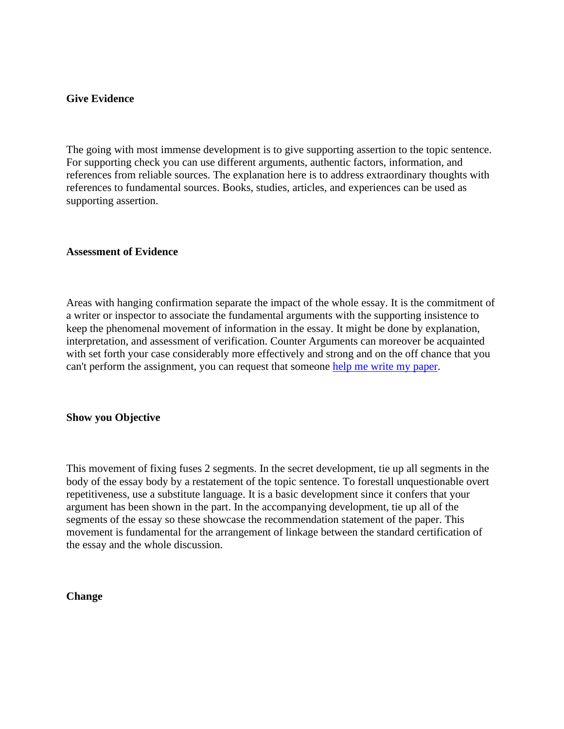# **Give Evidence**

The going with most immense development is to give supporting assertion to the topic sentence. For supporting check you can use different arguments, authentic factors, information, and references from reliable sources. The explanation here is to address extraordinary thoughts with references to fundamental sources. Books, studies, articles, and experiences can be used as supporting assertion.

# **Assessment of Evidence**

Areas with hanging confirmation separate the impact of the whole essay. It is the commitment of a writer or inspector to associate the fundamental arguments with the supporting insistence to keep the phenomenal movement of information in the essay. It might be done by explanation, interpretation, and assessment of verification. Counter Arguments can moreover be acquainted with set forth your case considerably more effectively and strong and on the off chance that you can't perform the assignment, you can request that someone [help me write my paper.](https://www.sharkpapers.com/)

# **Show you Objective**

This movement of fixing fuses 2 segments. In the secret development, tie up all segments in the body of the essay body by a restatement of the topic sentence. To forestall unquestionable overt repetitiveness, use a substitute language. It is a basic development since it confers that your argument has been shown in the part. In the accompanying development, tie up all of the segments of the essay so these showcase the recommendation statement of the paper. This movement is fundamental for the arrangement of linkage between the standard certification of the essay and the whole discussion.

### **Change**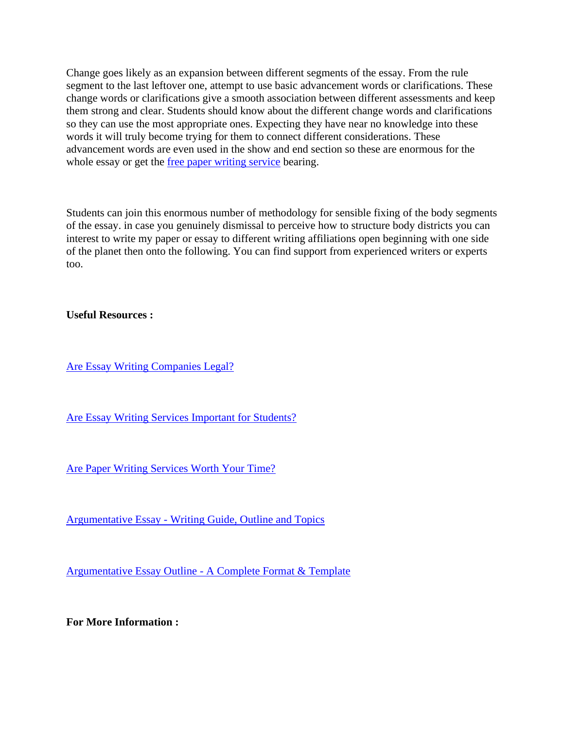Change goes likely as an expansion between different segments of the essay. From the rule segment to the last leftover one, attempt to use basic advancement words or clarifications. These change words or clarifications give a smooth association between different assessments and keep them strong and clear. Students should know about the different change words and clarifications so they can use the most appropriate ones. Expecting they have near no knowledge into these words it will truly become trying for them to connect different considerations. These advancement words are even used in the show and end section so these are enormous for the whole essay or get the [free paper writing service](https://www.collegeessay.org/) bearing.

Students can join this enormous number of methodology for sensible fixing of the body segments of the essay. in case you genuinely dismissal to perceive how to structure body districts you can interest to write my paper or essay to different writing affiliations open beginning with one side of the planet then onto the following. You can find support from experienced writers or experts too.

**Useful Resources :**

[Are Essay Writing Companies Legal?](https://essaywriternow.com/essay-writing-service/are-essay-writing-companies-legal)

[Are Essay Writing Services Important for Students?](https://theessaywritingservice.com/essay-writing-service/are-essay-writing-services-important-for-students)

[Are Paper Writing Services Worth Your Time?](https://writemyessayfast.net/paper-writing-service/are-paper-writing-services-worth-your-time)

Argumentative Essay - [Writing Guide, Outline and Topics](https://essaywriternow.com/blog/argumentative-essay)

Argumentative Essay Outline - [A Complete Format & Template](https://essaywriternow.com/blog/argumentative-essay-outline)

**For More Information :**